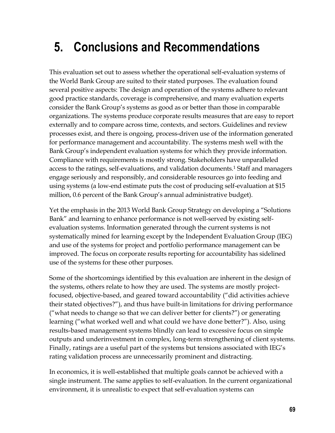# **5. Conclusions and Recommendations**

This evaluation set out to assess whether the operational self-evaluation systems of the World Bank Group are suited to their stated purposes. The evaluation found several positive aspects: The design and operation of the systems adhere to relevant good practice standards, coverage is comprehensive, and many evaluation experts consider the Bank Group's systems as good as or better than those in comparable organizations. The systems produce corporate results measures that are easy to report externally and to compare across time, contexts, and sectors. Guidelines and review processes exist, and there is ongoing, process-driven use of the information generated for performance management and accountability. The systems mesh well with the Bank Group's independent evaluation systems for which they provide information. Compliance with requirements is mostly strong. Stakeholders have unparalleled access to the ratings, self-evaluations, and validation documents.<sup>1</sup> Staff and managers engage seriously and responsibly, and considerable resources go into feeding and using systems (a low-end estimate puts the cost of producing self-evaluation at \$15 million, 0.6 percent of the Bank Group's annual administrative budget).

Yet the emphasis in the 2013 World Bank Group Strategy on developing a "Solutions Bank" and learning to enhance performance is not well-served by existing selfevaluation systems. Information generated through the current systems is not systematically mined for learning except by the Independent Evaluation Group (IEG) and use of the systems for project and portfolio performance management can be improved. The focus on corporate results reporting for accountability has sidelined use of the systems for these other purposes.

Some of the shortcomings identified by this evaluation are inherent in the design of the systems, others relate to how they are used. The systems are mostly projectfocused, objective-based, and geared toward accountability ("did activities achieve their stated objectives?"), and thus have built-in limitations for driving performance ("what needs to change so that we can deliver better for clients?") or generating learning ("what worked well and what could we have done better?"). Also, using results-based management systems blindly can lead to excessive focus on simple outputs and underinvestment in complex, long-term strengthening of client systems. Finally, ratings are a useful part of the systems but tensions associated with IEG's rating validation process are unnecessarily prominent and distracting.

In economics, it is well-established that multiple goals cannot be achieved with a single instrument. The same applies to self-evaluation. In the current organizational environment, it is unrealistic to expect that self-evaluation systems can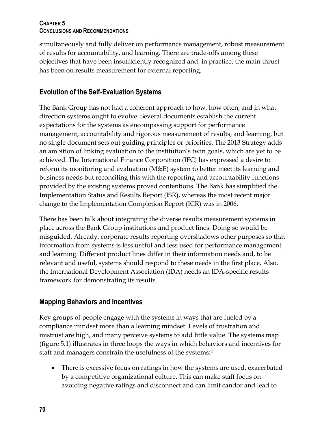simultaneously and fully deliver on performance management, robust measurement of results for accountability, and learning. There are trade-offs among these objectives that have been insufficiently recognized and, in practice, the main thrust has been on results measurement for external reporting.

# **Evolution of the Self-Evaluation Systems**

The Bank Group has not had a coherent approach to how, how often, and in what direction systems ought to evolve. Several documents establish the current expectations for the systems as encompassing support for performance management, accountability and rigorous measurement of results, and learning, but no single document sets out guiding principles or priorities. The 2013 Strategy adds an ambition of linking evaluation to the institution's twin goals, which are yet to be achieved. The International Finance Corporation (IFC) has expressed a desire to reform its monitoring and evaluation (M&E) system to better meet its learning and business needs but reconciling this with the reporting and accountability functions provided by the existing systems proved contentious. The Bank has simplified the Implementation Status and Results Report (ISR), whereas the most recent major change to the Implementation Completion Report (ICR) was in 2006.

There has been talk about integrating the diverse results measurement systems in place across the Bank Group institutions and product lines. Doing so would be misguided. Already, corporate results reporting overshadows other purposes so that information from systems is less useful and less used for performance management and learning. Different product lines differ in their information needs and, to be relevant and useful, systems should respond to these needs in the first place. Also, the International Development Association (IDA) needs an IDA-specific results framework for demonstrating its results.

# **Mapping Behaviors and Incentives**

Key groups of people engage with the systems in ways that are fueled by a compliance mindset more than a learning mindset. Levels of frustration and mistrust are high, and many perceive systems to add little value. The systems map (figure 5.1) illustrates in three loops the ways in which behaviors and incentives for staff and managers constrain the usefulness of the systems:<sup>2</sup>

 There is excessive focus on ratings in how the systems are used, exacerbated by a competitive organizational culture. This can make staff focus on avoiding negative ratings and disconnect and can limit candor and lead to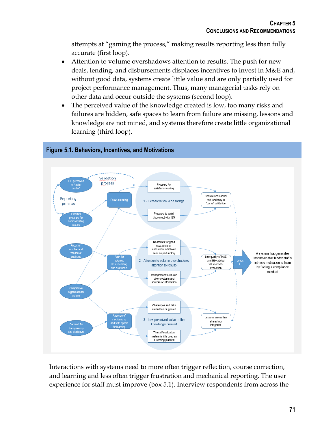attempts at "gaming the process," making results reporting less than fully accurate (first loop).

- Attention to volume overshadows attention to results. The push for new deals, lending, and disbursements displaces incentives to invest in M&E and, without good data, systems create little value and are only partially used for project performance management. Thus, many managerial tasks rely on other data and occur outside the systems (second loop).
- The perceived value of the knowledge created is low, too many risks and failures are hidden, safe spaces to learn from failure are missing, lessons and knowledge are not mined, and systems therefore create little organizational learning (third loop).



Interactions with systems need to more often trigger reflection, course correction, and learning and less often trigger frustration and mechanical reporting. The user experience for staff must improve (box 5.1). Interview respondents from across the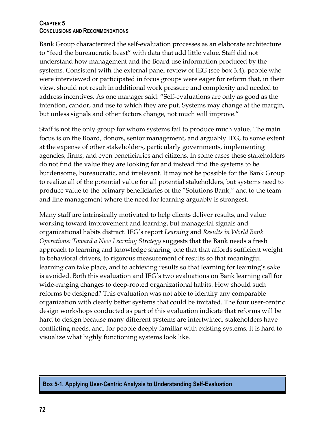Bank Group characterized the self-evaluation processes as an elaborate architecture to "feed the bureaucratic beast" with data that add little value. Staff did not understand how management and the Board use information produced by the systems. Consistent with the external panel review of IEG (see box 3.4), people who were interviewed or participated in focus groups were eager for reform that, in their view, should not result in additional work pressure and complexity and needed to address incentives. As one manager said: "Self-evaluations are only as good as the intention, candor, and use to which they are put. Systems may change at the margin, but unless signals and other factors change, not much will improve."

Staff is not the only group for whom systems fail to produce much value. The main focus is on the Board, donors, senior management, and arguably IEG, to some extent at the expense of other stakeholders, particularly governments, implementing agencies, firms, and even beneficiaries and citizens. In some cases these stakeholders do not find the value they are looking for and instead find the systems to be burdensome, bureaucratic, and irrelevant. It may not be possible for the Bank Group to realize all of the potential value for all potential stakeholders, but systems need to produce value to the primary beneficiaries of the "Solutions Bank," and to the team and line management where the need for learning arguably is strongest.

Many staff are intrinsically motivated to help clients deliver results, and value working toward improvement and learning, but managerial signals and organizational habits distract. IEG's report *Learning* and *Results in World Bank Operations: Toward a New Learning Strategy* suggests that the Bank needs a fresh approach to learning and knowledge sharing, one that that affords sufficient weight to behavioral drivers, to rigorous measurement of results so that meaningful learning can take place, and to achieving results so that learning for learning's sake is avoided. Both this evaluation and IEG's two evaluations on Bank learning call for wide-ranging changes to deep-rooted organizational habits. How should such reforms be designed? This evaluation was not able to identify any comparable organization with clearly better systems that could be imitated. The four user-centric design workshops conducted as part of this evaluation indicate that reforms will be hard to design because many different systems are intertwined, stakeholders have conflicting needs, and, for people deeply familiar with existing systems, it is hard to visualize what highly functioning systems look like.

#### **Box 5-1. Applying User-Centric Analysis to Understanding Self-Evaluation**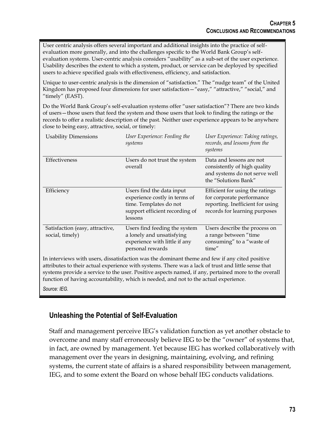User centric analysis offers several important and additional insights into the practice of selfevaluation more generally, and into the challenges specific to the World Bank Group's selfevaluation systems. User-centric analysis considers "usability" as a sub-set of the user experience. Usability describes the extent to which a system, product, or service can be deployed by specified users to achieve specified goals with effectiveness, efficiency, and satisfaction.

Unique to user-centric analysis is the dimension of "satisfaction." The "nudge team" of the United Kingdom has proposed four dimensions for user satisfaction—"easy," "attractive," "social," and "timely" (EAST).

Do the World Bank Group's self-evaluation systems offer "user satisfaction"? There are two kinds of users—those users that feed the system and those users that look to finding the ratings or the records to offer a realistic description of the past. Neither user experience appears to be anywhere close to being easy, attractive, social, or timely:

| <b>Usability Dimensions</b>                        | User Experience: Feeding the<br>systems                                                                                           | User Experience: Taking ratings,<br>records, and lessons from the<br>systems                                                      |
|----------------------------------------------------|-----------------------------------------------------------------------------------------------------------------------------------|-----------------------------------------------------------------------------------------------------------------------------------|
| Effectiveness                                      | Users do not trust the system<br>overall                                                                                          | Data and lessons are not<br>consistently of high quality<br>and systems do not serve well<br>the "Solutions Bank"                 |
| Efficiency                                         | Users find the data input<br>experience costly in terms of<br>time. Templates do not<br>support efficient recording of<br>lessons | Efficient for using the ratings<br>for corporate performance<br>reporting. Inefficient for using<br>records for learning purposes |
| Satisfaction (easy, attractive,<br>social, timely) | Users find feeding the system<br>a lonely and unsatisfying<br>experience with little if any<br>personal rewards                   | Users describe the process on<br>a range between "time<br>consuming" to a "waste of<br>time"                                      |

In interviews with users, dissatisfaction was the dominant theme and few if any cited positive attributes to their actual experience with systems. There was a lack of trust and little sense that systems provide a service to the user. Positive aspects named, if any, pertained more to the overall function of having accountability, which is needed, and not to the actual experience.

*Source: IEG.*

# **Unleashing the Potential of Self-Evaluation**

Staff and management perceive IEG's validation function as yet another obstacle to overcome and many staff erroneously believe IEG to be the "owner" of systems that, in fact, are owned by management. Yet because IEG has worked collaboratively with management over the years in designing, maintaining, evolving, and refining systems, the current state of affairs is a shared responsibility between management, IEG, and to some extent the Board on whose behalf IEG conducts validations.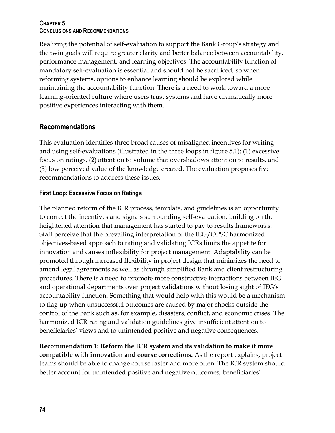Realizing the potential of self-evaluation to support the Bank Group's strategy and the twin goals will require greater clarity and better balance between accountability, performance management, and learning objectives. The accountability function of mandatory self-evaluation is essential and should not be sacrificed, so when reforming systems, options to enhance learning should be explored while maintaining the accountability function. There is a need to work toward a more learning-oriented culture where users trust systems and have dramatically more positive experiences interacting with them.

## **Recommendations**

This evaluation identifies three broad causes of misaligned incentives for writing and using self-evaluations (illustrated in the three loops in figure 5.1): (1) excessive focus on ratings, (2) attention to volume that overshadows attention to results, and (3) low perceived value of the knowledge created. The evaluation proposes five recommendations to address these issues.

## **First Loop: Excessive Focus on Ratings**

The planned reform of the ICR process, template, and guidelines is an opportunity to correct the incentives and signals surrounding self-evaluation, building on the heightened attention that management has started to pay to results frameworks. Staff perceive that the prevailing interpretation of the IEG/OPSC harmonized objectives-based approach to rating and validating ICRs limits the appetite for innovation and causes inflexibility for project management. Adaptability can be promoted through increased flexibility in project design that minimizes the need to amend legal agreements as well as through simplified Bank and client restructuring procedures. There is a need to promote more constructive interactions between IEG and operational departments over project validations without losing sight of IEG's accountability function. Something that would help with this would be a mechanism to flag up when unsuccessful outcomes are caused by major shocks outside the control of the Bank such as, for example, disasters, conflict, and economic crises. The harmonized ICR rating and validation guidelines give insufficient attention to beneficiaries' views and to unintended positive and negative consequences.

**Recommendation 1: Reform the ICR system and its validation to make it more compatible with innovation and course corrections.** As the report explains, project teams should be able to change course faster and more often. The ICR system should better account for unintended positive and negative outcomes, beneficiaries'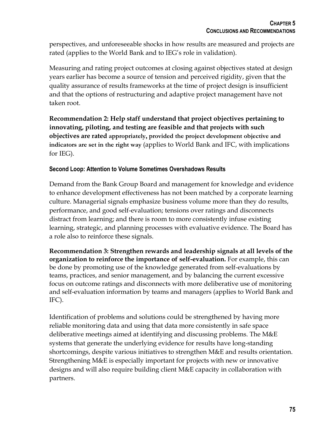perspectives, and unforeseeable shocks in how results are measured and projects are rated (applies to the World Bank and to IEG's role in validation).

Measuring and rating project outcomes at closing against objectives stated at design years earlier has become a source of tension and perceived rigidity, given that the quality assurance of results frameworks at the time of project design is insufficient and that the options of restructuring and adaptive project management have not taken root.

**Recommendation 2: Help staff understand that project objectives pertaining to innovating, piloting, and testing are feasible and that projects with such objectives are rated appropriately, provided the project development objective and indicators are set in the right way** (applies to World Bank and IFC, with implications for IEG).

### **Second Loop: Attention to Volume Sometimes Overshadows Results**

Demand from the Bank Group Board and management for knowledge and evidence to enhance development effectiveness has not been matched by a corporate learning culture. Managerial signals emphasize business volume more than they do results, performance, and good self-evaluation; tensions over ratings and disconnects distract from learning; and there is room to more consistently infuse existing learning, strategic, and planning processes with evaluative evidence. The Board has a role also to reinforce these signals.

**Recommendation 3: Strengthen rewards and leadership signals at all levels of the organization to reinforce the importance of self-evaluation.** For example, this can be done by promoting use of the knowledge generated from self-evaluations by teams, practices, and senior management, and by balancing the current excessive focus on outcome ratings and disconnects with more deliberative use of monitoring and self-evaluation information by teams and managers (applies to World Bank and IFC).

Identification of problems and solutions could be strengthened by having more reliable monitoring data and using that data more consistently in safe space deliberative meetings aimed at identifying and discussing problems. The M&E systems that generate the underlying evidence for results have long-standing shortcomings, despite various initiatives to strengthen M&E and results orientation. Strengthening M&E is especially important for projects with new or innovative designs and will also require building client M&E capacity in collaboration with partners.